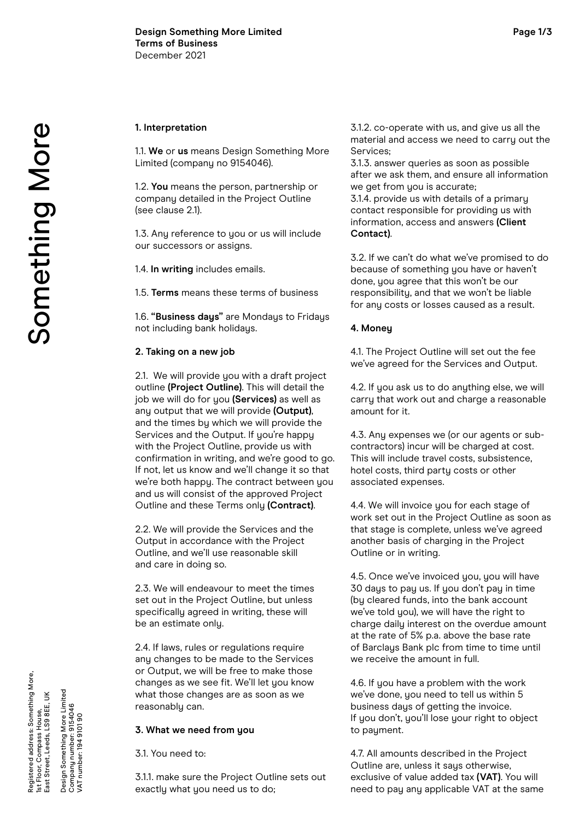### **1. Interpretation**

1.1. **We** or **us** means Design Something More Limited (company no 9154046).

1.2. **You** means the person, partnership or company detailed in the Project Outline (see clause 2.1).

1.3. Any reference to you or us will include our successors or assigns.

1.4. **In writing** includes emails.

1.5. **Terms** means these terms of business

1.6. **"Business days"** are Mondays to Fridays not including bank holidays.

## **2. Taking on a new job**

2.1. We will provide you with a draft project outline **(Project Outline)**. This will detail the job we will do for you **(Services)** as well as any output that we will provide **(Output)**, and the times by which we will provide the Services and the Output. If you're happy with the Project Outline, provide us with confirmation in writing, and we're good to go. If not, let us know and we'll change it so that we're both happy. The contract between you and us will consist of the approved Project Outline and these Terms only **(Contract)**.

2.2. We will provide the Services and the Output in accordance with the Project Outline, and we'll use reasonable skill and care in doing so.

2.3. We will endeavour to meet the times set out in the Project Outline, but unless specifically agreed in writing, these will be an estimate only.

2.4. If laws, rules or regulations require any changes to be made to the Services or Output, we will be free to make those changes as we see fit. We'll let you know what those changes are as soon as we reasonably can.

## **3. What we need from you**

3.1. You need to:

3.1.1. make sure the Project Outline sets out exactly what you need us to do;

3.1.2. co-operate with us, and give us all the material and access we need to carry out the Services;

3.1.3. answer queries as soon as possible after we ask them, and ensure all information we get from you is accurate;

3.1.4. provide us with details of a primary contact responsible for providing us with information, access and answers **(Client Contact)**.

3.2. If we can't do what we've promised to do because of something you have or haven't done, you agree that this won't be our responsibility, and that we won't be liable for any costs or losses caused as a result.

# **4. Money**

4.1. The Project Outline will set out the fee we've agreed for the Services and Output.

4.2. If you ask us to do anything else, we will carry that work out and charge a reasonable amount for it.

4.3. Any expenses we (or our agents or subcontractors) incur will be charged at cost. This will include travel costs, subsistence, hotel costs, third party costs or other associated expenses.

4.4. We will invoice you for each stage of work set out in the Project Outline as soon as that stage is complete, unless we've agreed another basis of charging in the Project Outline or in writing.

4.5. Once we've invoiced you, you will have 30 days to pay us. If you don't pay in time (by cleared funds, into the bank account we've told you), we will have the right to charge daily interest on the overdue amount at the rate of 5% p.a. above the base rate of Barclays Bank plc from time to time until we receive the amount in full.

4.6. If you have a problem with the work we've done, you need to tell us within 5 business days of getting the invoice. If you don't, you'll lose your right to object to payment.

4.7. All amounts described in the Project Outline are, unless it says otherwise, exclusive of value added tax **(VAT)**. You will need to pay any applicable VAT at the same

Design Something More Limited Company number: 9154046 VAT number: 194 9101 90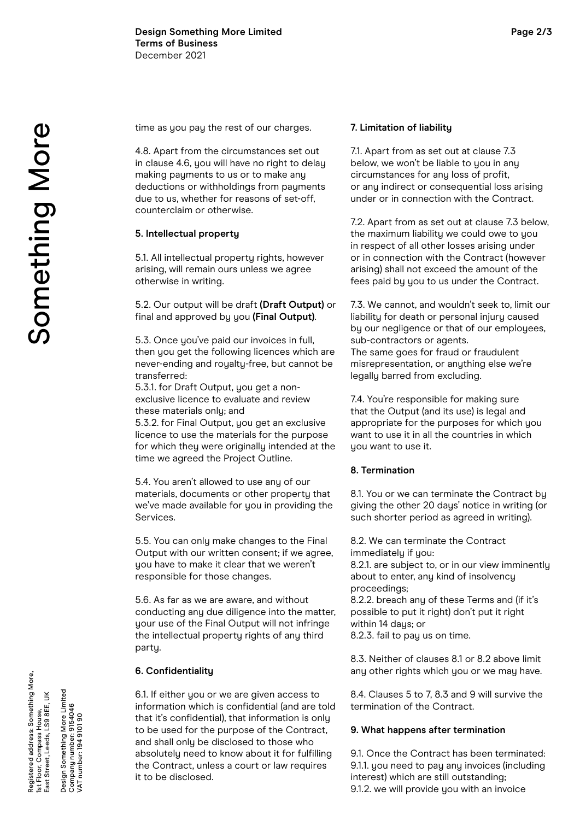time as you pay the rest of our charges.

4.8. Apart from the circumstances set out in clause 4.6, you will have no right to delay making payments to us or to make any deductions or withholdings from payments due to us, whether for reasons of set-off, counterclaim or otherwise.

### **5. Intellectual property**

5.1. All intellectual property rights, however arising, will remain ours unless we agree otherwise in writing.

5.2. Our output will be draft **(Draft Output)** or final and approved by you **(Final Output)**.

5.3. Once you've paid our invoices in full, then you get the following licences which are never-ending and royalty-free, but cannot be transferred:

5.3.1. for Draft Output, you get a nonexclusive licence to evaluate and review these materials only; and

5.3.2. for Final Output, you get an exclusive licence to use the materials for the purpose for which they were originally intended at the time we agreed the Project Outline.

5.4. You aren't allowed to use any of our materials, documents or other property that we've made available for you in providing the Services.

5.5. You can only make changes to the Final Output with our written consent; if we agree, you have to make it clear that we weren't responsible for those changes.

5.6. As far as we are aware, and without conducting any due diligence into the matter, your use of the Final Output will not infringe the intellectual property rights of any third party.

#### **6. Confidentiality**

6.1. If either you or we are given access to information which is confidential (and are told that it's confidential), that information is only to be used for the purpose of the Contract, and shall only be disclosed to those who absolutely need to know about it for fulfilling the Contract, unless a court or law requires it to be disclosed.

#### **7. Limitation of liability**

7.1. Apart from as set out at clause 7.3 below, we won't be liable to you in any circumstances for any loss of profit, or any indirect or consequential loss arising under or in connection with the Contract.

7.2. Apart from as set out at clause 7.3 below, the maximum liability we could owe to you in respect of all other losses arising under or in connection with the Contract (however arising) shall not exceed the amount of the fees paid by you to us under the Contract.

7.3. We cannot, and wouldn't seek to, limit our liability for death or personal injury caused by our negligence or that of our employees, sub-contractors or agents. The same goes for fraud or fraudulent misrepresentation, or anything else we're legally barred from excluding.

7.4. You're responsible for making sure that the Output (and its use) is legal and appropriate for the purposes for which you want to use it in all the countries in which you want to use it.

### **8. Termination**

8.1. You or we can terminate the Contract by giving the other 20 days' notice in writing (or such shorter period as agreed in writing).

8.2. We can terminate the Contract immediately if you: 8.2.1. are subject to, or in our view imminently about to enter, any kind of insolvency proceedings; 8.2.2. breach any of these Terms and (if it's

possible to put it right) don't put it right within 14 daus; or 8.2.3. fail to pay us on time.

8.3. Neither of clauses 8.1 or 8.2 above limit any other rights which you or we may have.

8.4. Clauses 5 to 7, 8.3 and 9 will survive the termination of the Contract.

#### **9. What happens after termination**

9.1. Once the Contract has been terminated: 9.1.1. you need to pay any invoices (including interest) which are still outstanding; 9.1.2. we will provide you with an invoice

Design Something More Limited Company number: 9154046 VAT number: 194 9101 90